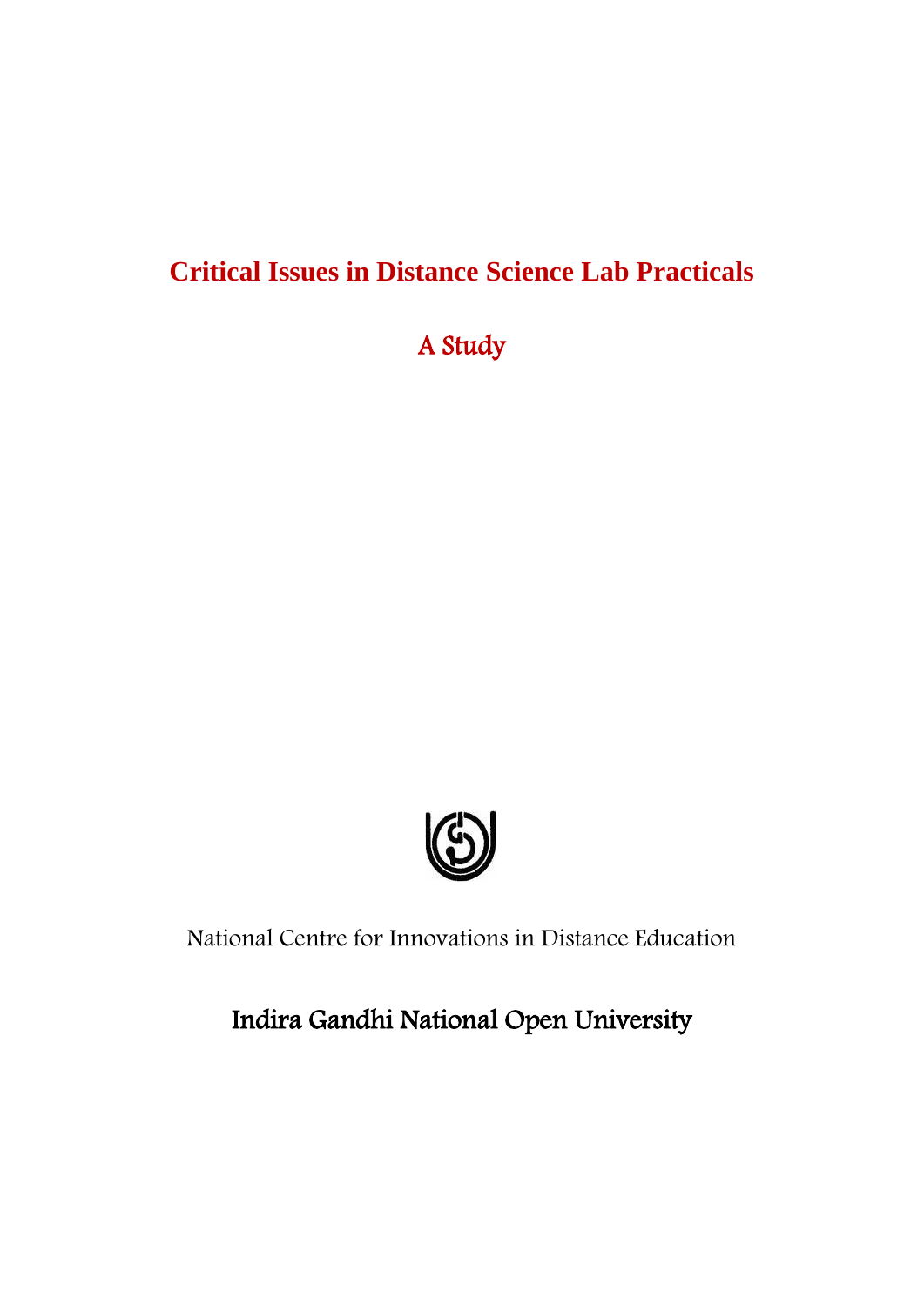# **Critical Issues in Distance Science Lab Practicals**

A Study



National Centre for Innovations in Distance Education

Indira Gandhi National Open University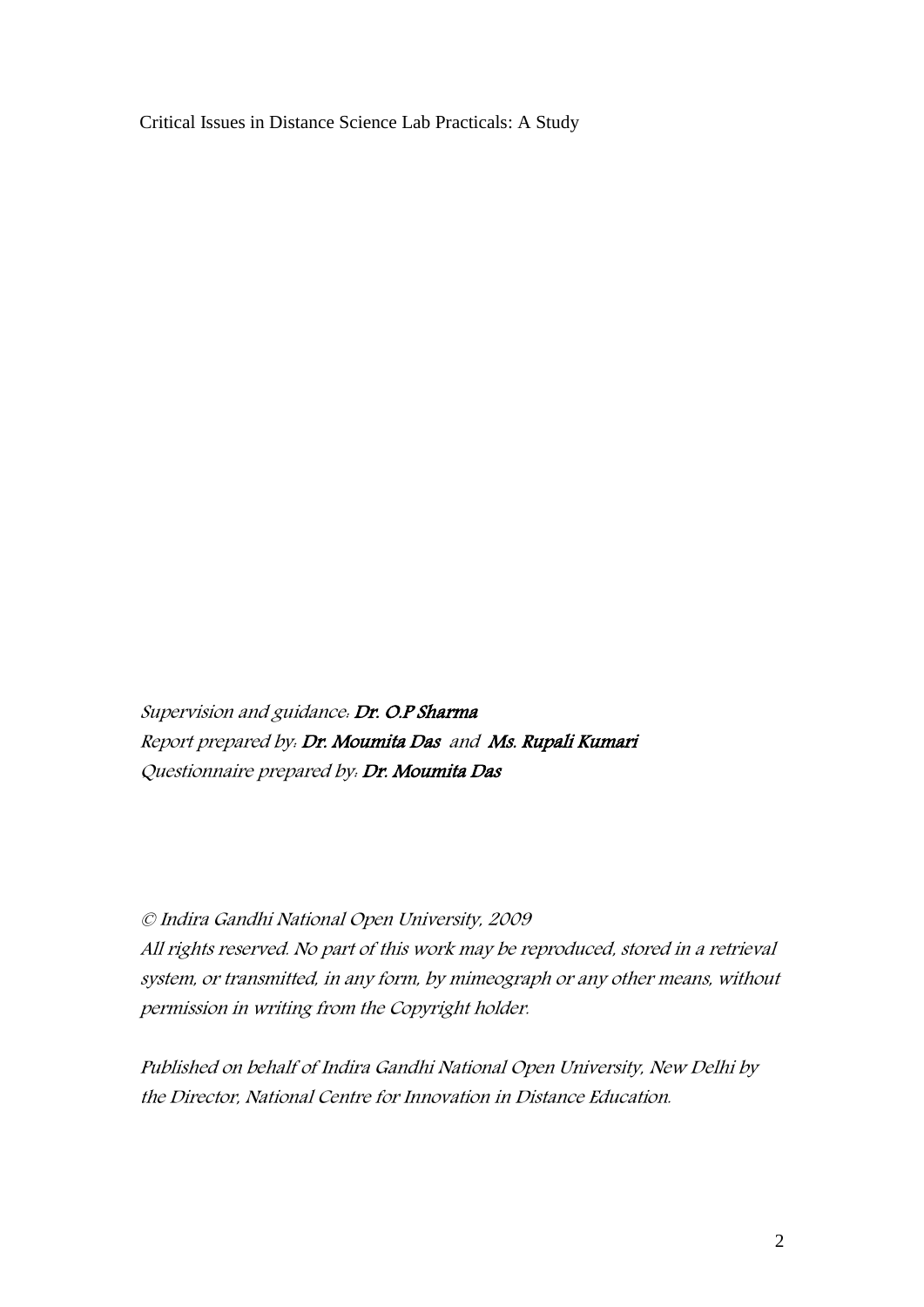Critical Issues in Distance Science Lab Practicals: A Study

Supervision and guidance: Dr. O.P Sharma Report prepared by: Dr. Moumita Das and Ms. Rupali Kumari Questionnaire prepared by: Dr. Moumita Das

© Indira Gandhi National Open University, 2009 All rights reserved. No part of this work may be reproduced, stored in a retrieval system, or transmitted, in any form, by mimeograph or any other means, without permission in writing from the Copyright holder.

Published on behalf of Indira Gandhi National Open University, New Delhi by the Director, National Centre for Innovation in Distance Education.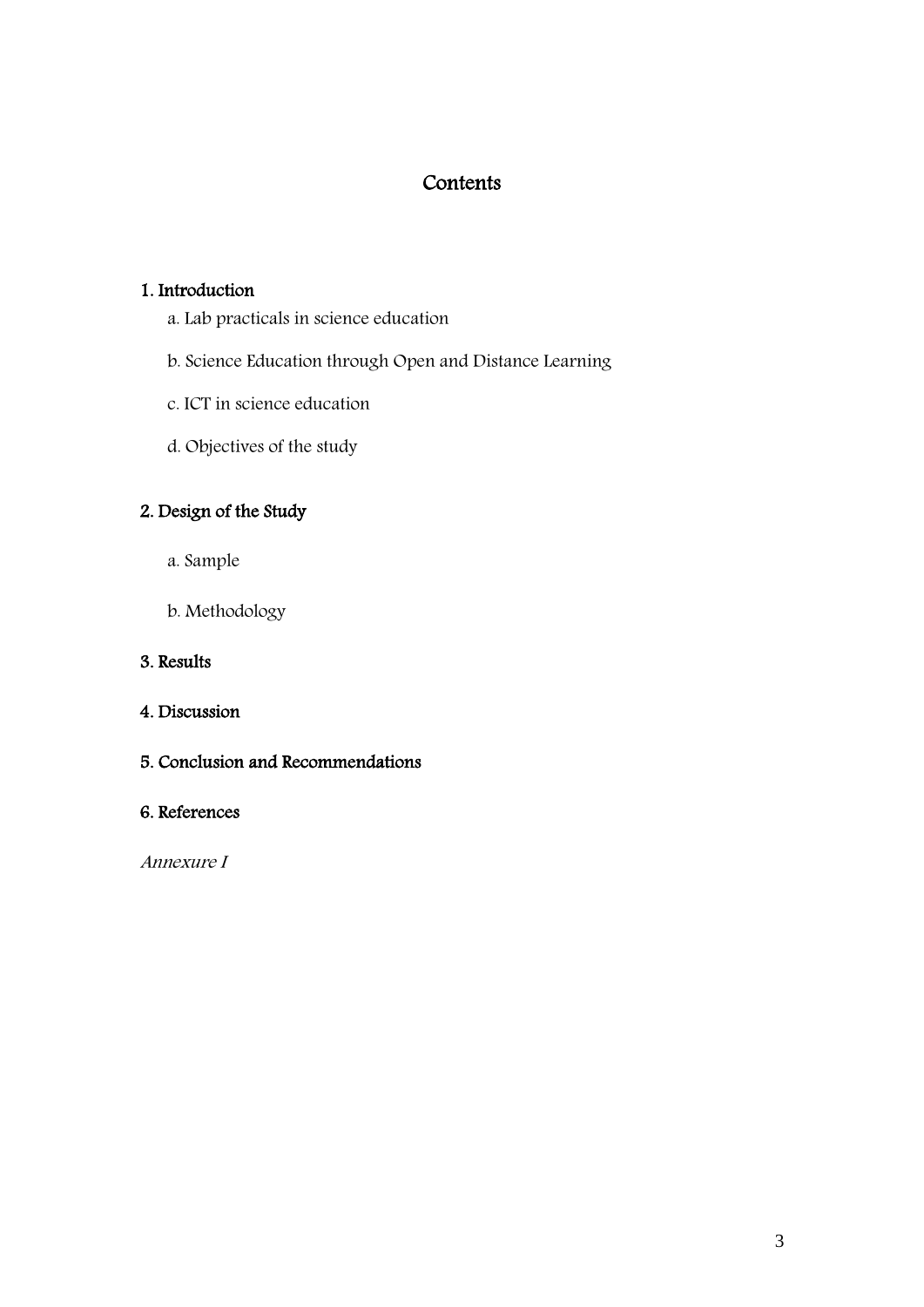# **Contents**

## 1. Introduction

- a. Lab practicals in science education
- b. Science Education through Open and Distance Learning
- c. ICT in science education
- d. Objectives of the study

# 2. Design of the Study

- a. Sample
- b. Methodology

# 3. Results

# 4. Discussion

5. Conclusion and Recommendations

# 6. References

Annexure I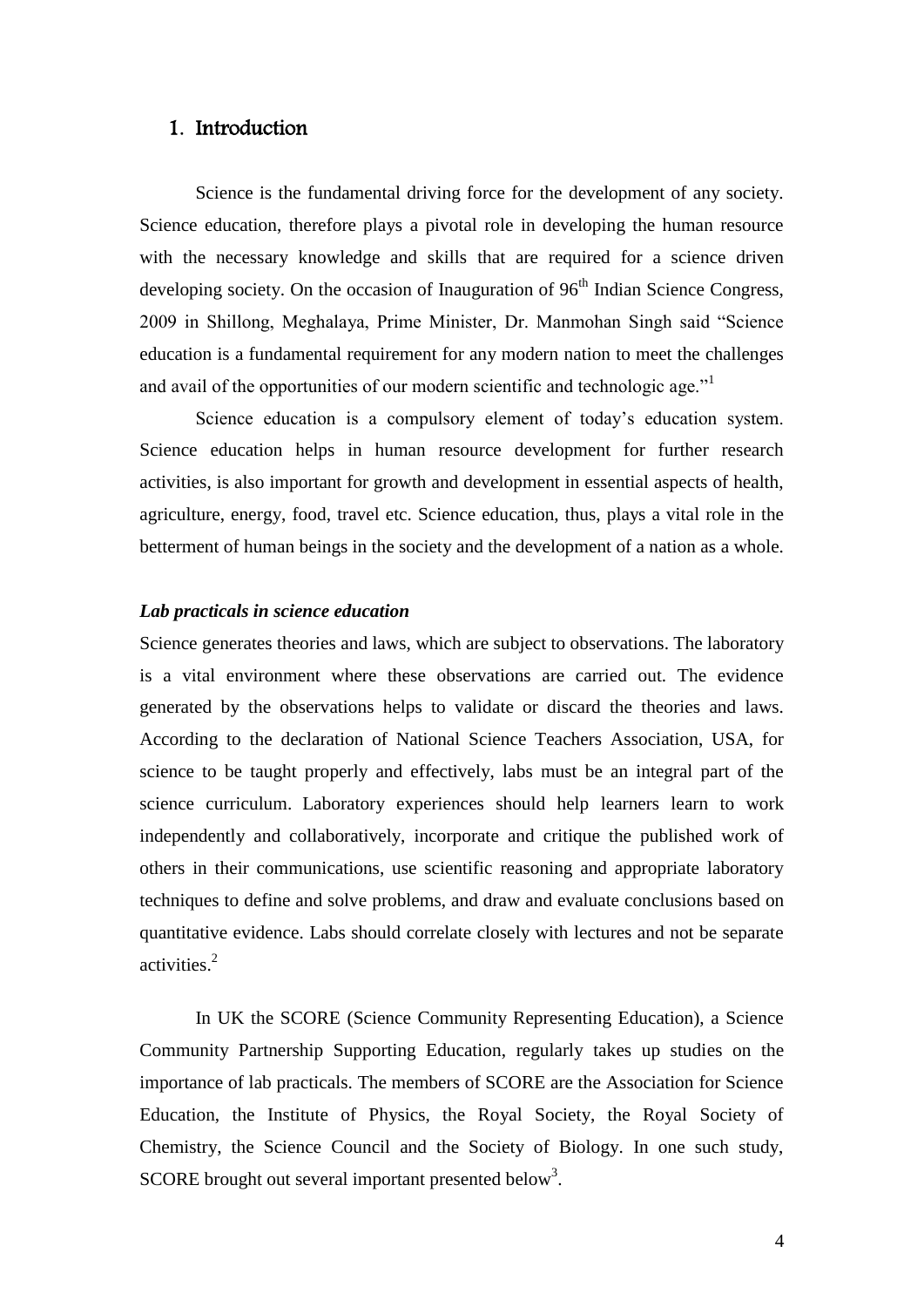### 1. Introduction

Science is the fundamental driving force for the development of any society. Science education, therefore plays a pivotal role in developing the human resource with the necessary knowledge and skills that are required for a science driven developing society. On the occasion of Inauguration of 96<sup>th</sup> Indian Science Congress, 2009 in Shillong, Meghalaya, Prime Minister, Dr. Manmohan Singh said "Science education is a fundamental requirement for any modern nation to meet the challenges and avail of the opportunities of our modern scientific and technologic age."<sup>1</sup>

Science education is a compulsory element of today's education system. Science education helps in human resource development for further research activities, is also important for growth and development in essential aspects of health, agriculture, energy, food, travel etc. Science education, thus, plays a vital role in the betterment of human beings in the society and the development of a nation as a whole.

#### *Lab practicals in science education*

Science generates theories and laws, which are subject to observations. The laboratory is a vital environment where these observations are carried out. The evidence generated by the observations helps to validate or discard the theories and laws. According to the declaration of National Science Teachers Association, USA, for science to be taught properly and effectively, labs must be an integral part of the science curriculum. Laboratory experiences should help learners learn to work independently and collaboratively, incorporate and critique the published work of others in their communications, use scientific reasoning and appropriate laboratory techniques to define and solve problems, and draw and evaluate conclusions based on quantitative evidence. Labs should correlate closely with lectures and not be separate activities.<sup>2</sup>

In UK the SCORE (Science Community Representing Education), a Science Community Partnership Supporting Education, regularly takes up studies on the importance of lab practicals. The members of SCORE are the Association for Science Education, the Institute of Physics, the Royal Society, the Royal Society of Chemistry, the Science Council and the Society of Biology. In one such study, SCORE brought out several important presented below<sup>3</sup>.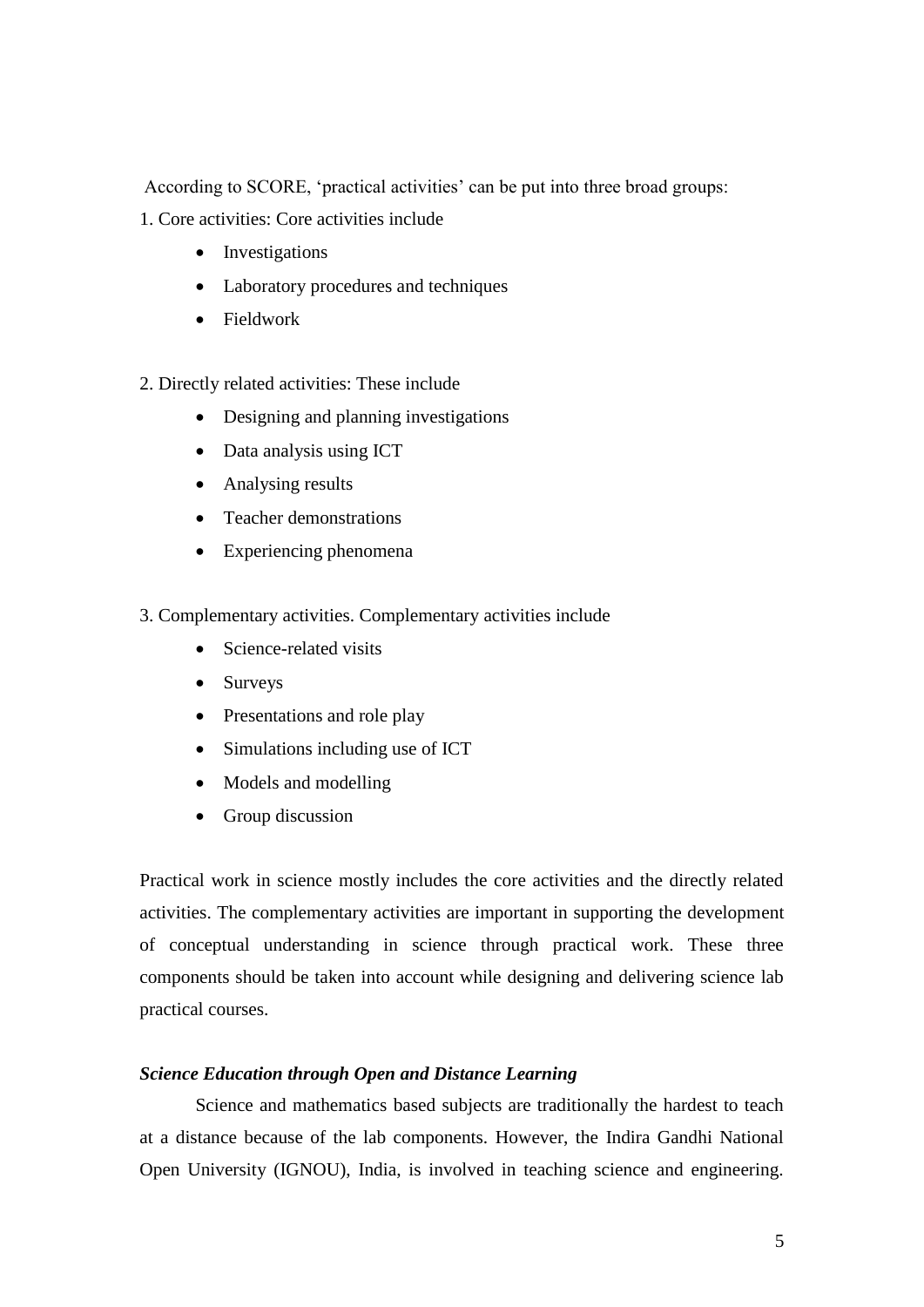According to SCORE, 'practical activities' can be put into three broad groups:

1. Core activities: Core activities include

- Investigations
- Laboratory procedures and techniques
- Fieldwork

2. Directly related activities: These include

- Designing and planning investigations
- Data analysis using ICT
- Analysing results
- Teacher demonstrations
- Experiencing phenomena
- 3. Complementary activities. Complementary activities include
	- Science-related visits
	- Surveys
	- Presentations and role play
	- Simulations including use of ICT
	- Models and modelling
	- Group discussion

Practical work in science mostly includes the core activities and the directly related activities. The complementary activities are important in supporting the development of conceptual understanding in science through practical work. These three components should be taken into account while designing and delivering science lab practical courses.

### *Science Education through Open and Distance Learning*

Science and mathematics based subjects are traditionally the hardest to teach at a distance because of the lab components. However, the Indira Gandhi National Open University (IGNOU), India, is involved in teaching science and engineering.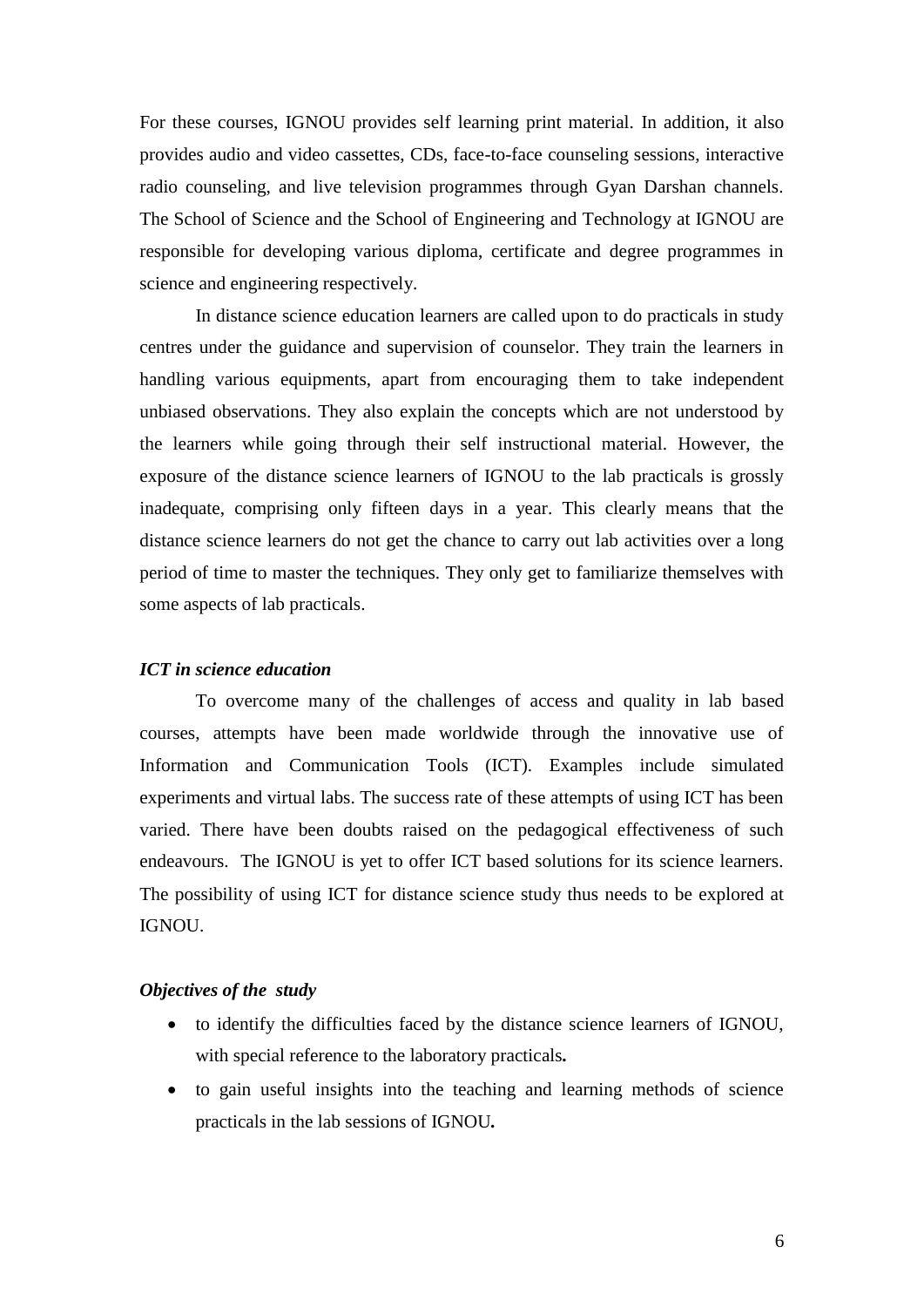For these courses, IGNOU provides self learning print material. In addition, it also provides audio and video cassettes, CDs, face-to-face counseling sessions, interactive radio counseling, and live television programmes through Gyan Darshan channels. The School of Science and the School of Engineering and Technology at IGNOU are responsible for developing various diploma, certificate and degree programmes in science and engineering respectively.

In distance science education learners are called upon to do practicals in study centres under the guidance and supervision of counselor. They train the learners in handling various equipments, apart from encouraging them to take independent unbiased observations. They also explain the concepts which are not understood by the learners while going through their self instructional material. However, the exposure of the distance science learners of IGNOU to the lab practicals is grossly inadequate, comprising only fifteen days in a year. This clearly means that the distance science learners do not get the chance to carry out lab activities over a long period of time to master the techniques. They only get to familiarize themselves with some aspects of lab practicals.

#### *ICT in science education*

To overcome many of the challenges of access and quality in lab based courses, attempts have been made worldwide through the innovative use of Information and Communication Tools (ICT). Examples include simulated experiments and virtual labs. The success rate of these attempts of using ICT has been varied. There have been doubts raised on the pedagogical effectiveness of such endeavours. The IGNOU is yet to offer ICT based solutions for its science learners. The possibility of using ICT for distance science study thus needs to be explored at IGNOU.

#### *Objectives of the study*

- to identify the difficulties faced by the distance science learners of IGNOU, with special reference to the laboratory practicals*.*
- to gain useful insights into the teaching and learning methods of science practicals in the lab sessions of IGNOU*.*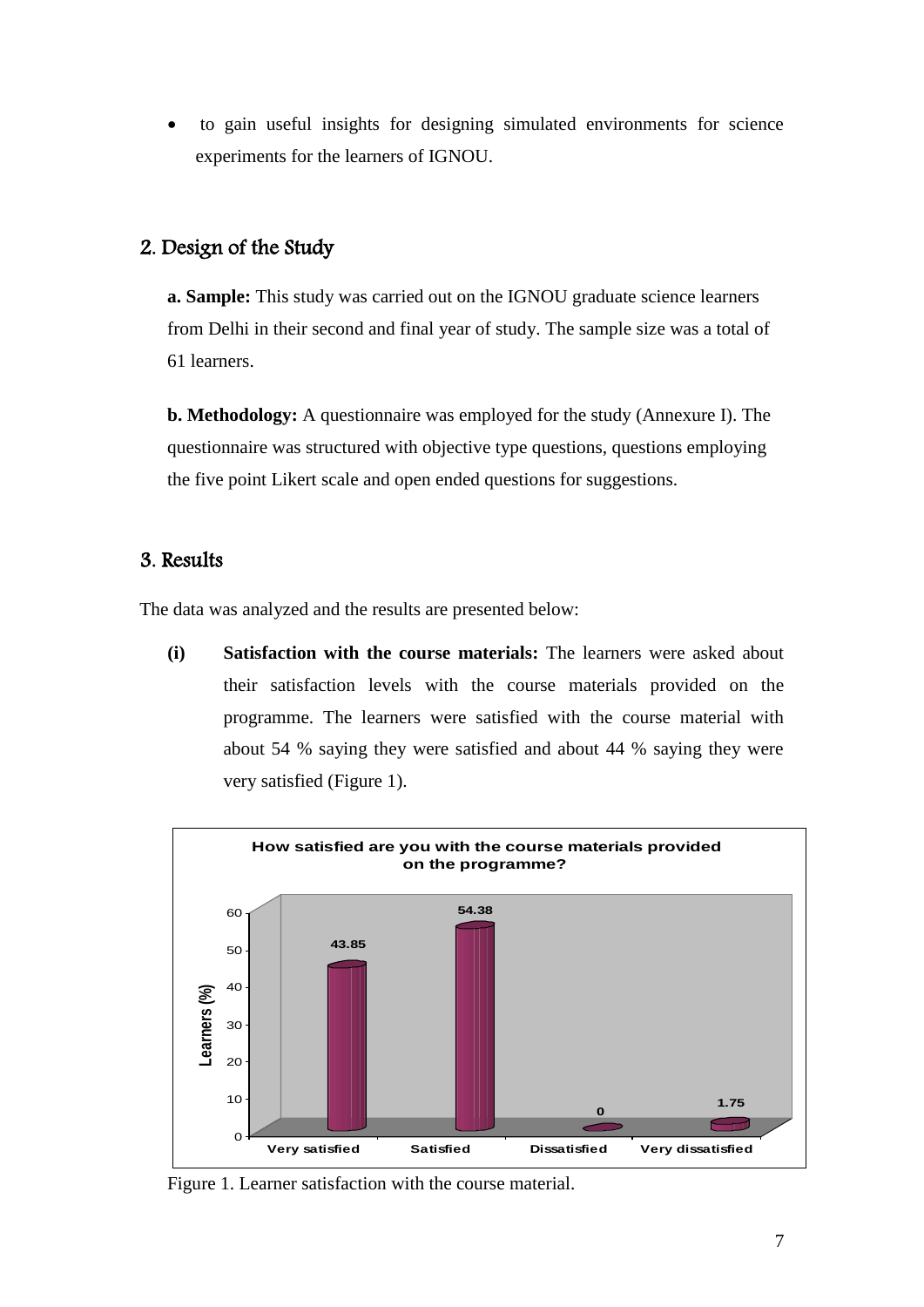to gain useful insights for designing simulated environments for science experiments for the learners of IGNOU.

# 2. Design of the Study

**a. Sample:** This study was carried out on the IGNOU graduate science learners from Delhi in their second and final year of study. The sample size was a total of 61 learners.

**b. Methodology:** A questionnaire was employed for the study (Annexure I). The questionnaire was structured with objective type questions, questions employing the five point Likert scale and open ended questions for suggestions.

# 3. Results

The data was analyzed and the results are presented below:

**(i) Satisfaction with the course materials:** The learners were asked about their satisfaction levels with the course materials provided on the programme. The learners were satisfied with the course material with about 54 % saying they were satisfied and about 44 % saying they were very satisfied (Figure 1).



Figure 1. Learner satisfaction with the course material.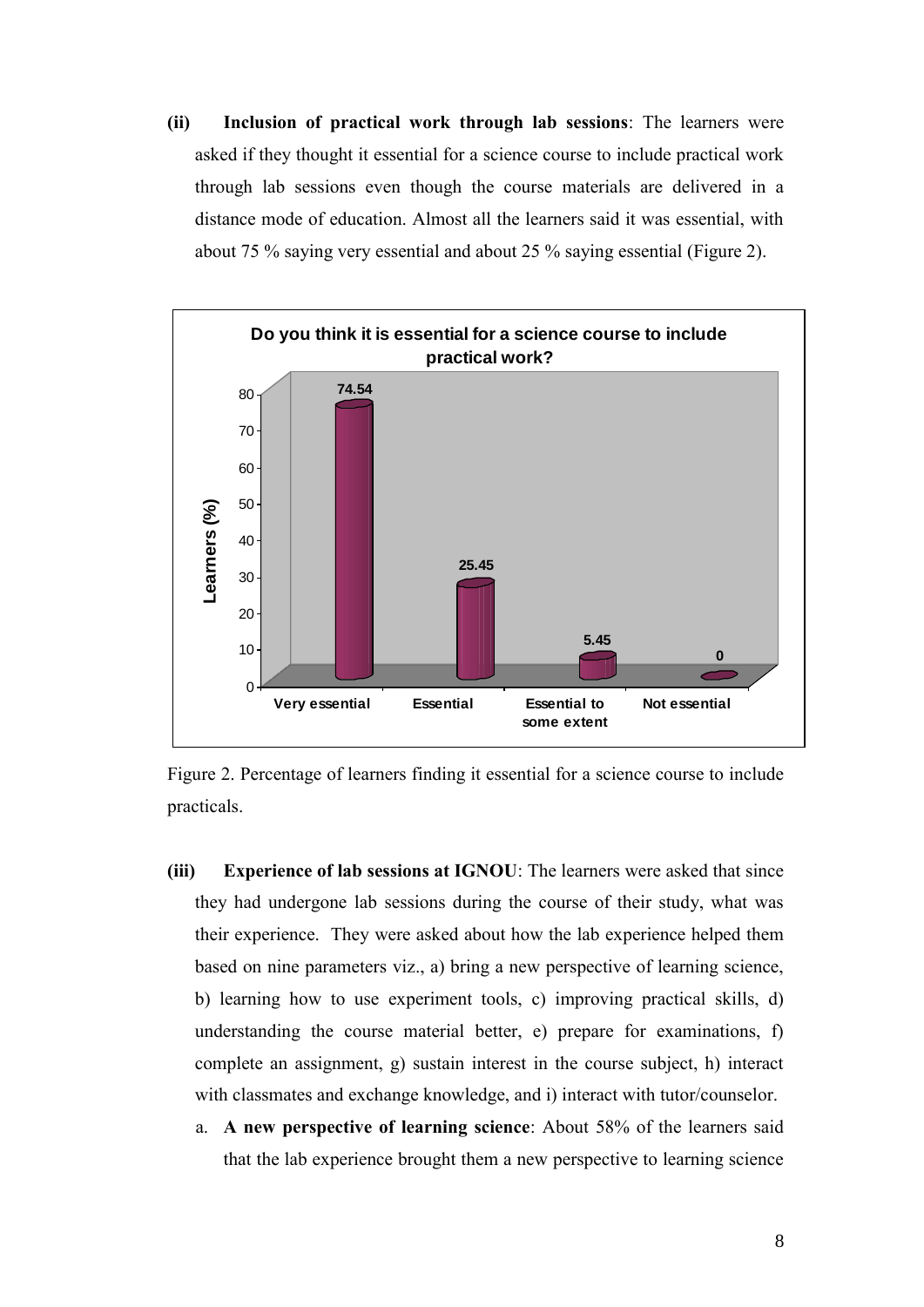**(ii) Inclusion of practical work through lab sessions**: The learners were asked if they thought it essential for a science course to include practical work through lab sessions even though the course materials are delivered in a distance mode of education. Almost all the learners said it was essential, with about 75 % saying very essential and about 25 % saying essential (Figure 2).



Figure 2. Percentage of learners finding it essential for a science course to include practicals.

- **(iii) Experience of lab sessions at IGNOU**: The learners were asked that since they had undergone lab sessions during the course of their study, what was their experience. They were asked about how the lab experience helped them based on nine parameters viz., a) bring a new perspective of learning science, b) learning how to use experiment tools, c) improving practical skills, d) understanding the course material better, e) prepare for examinations, f) complete an assignment, g) sustain interest in the course subject, h) interact with classmates and exchange knowledge, and i) interact with tutor/counselor.
	- a. **A new perspective of learning science**: About 58% of the learners said that the lab experience brought them a new perspective to learning science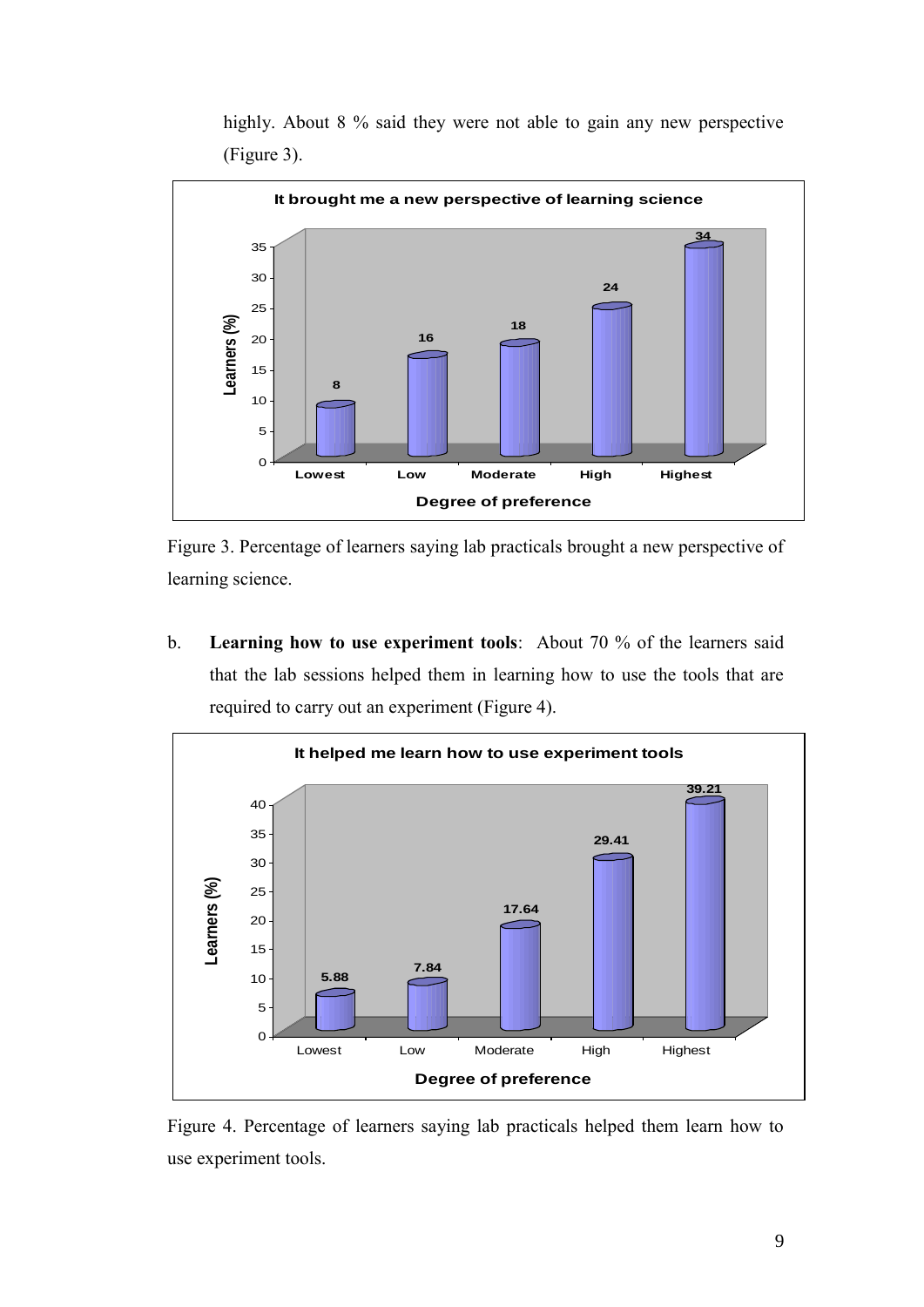

highly. About 8 % said they were not able to gain any new perspective (Figure 3).

Figure 3. Percentage of learners saying lab practicals brought a new perspective of learning science.

b. **Learning how to use experiment tools**: About 70 % of the learners said that the lab sessions helped them in learning how to use the tools that are required to carry out an experiment (Figure 4).



Figure 4. Percentage of learners saying lab practicals helped them learn how to use experiment tools.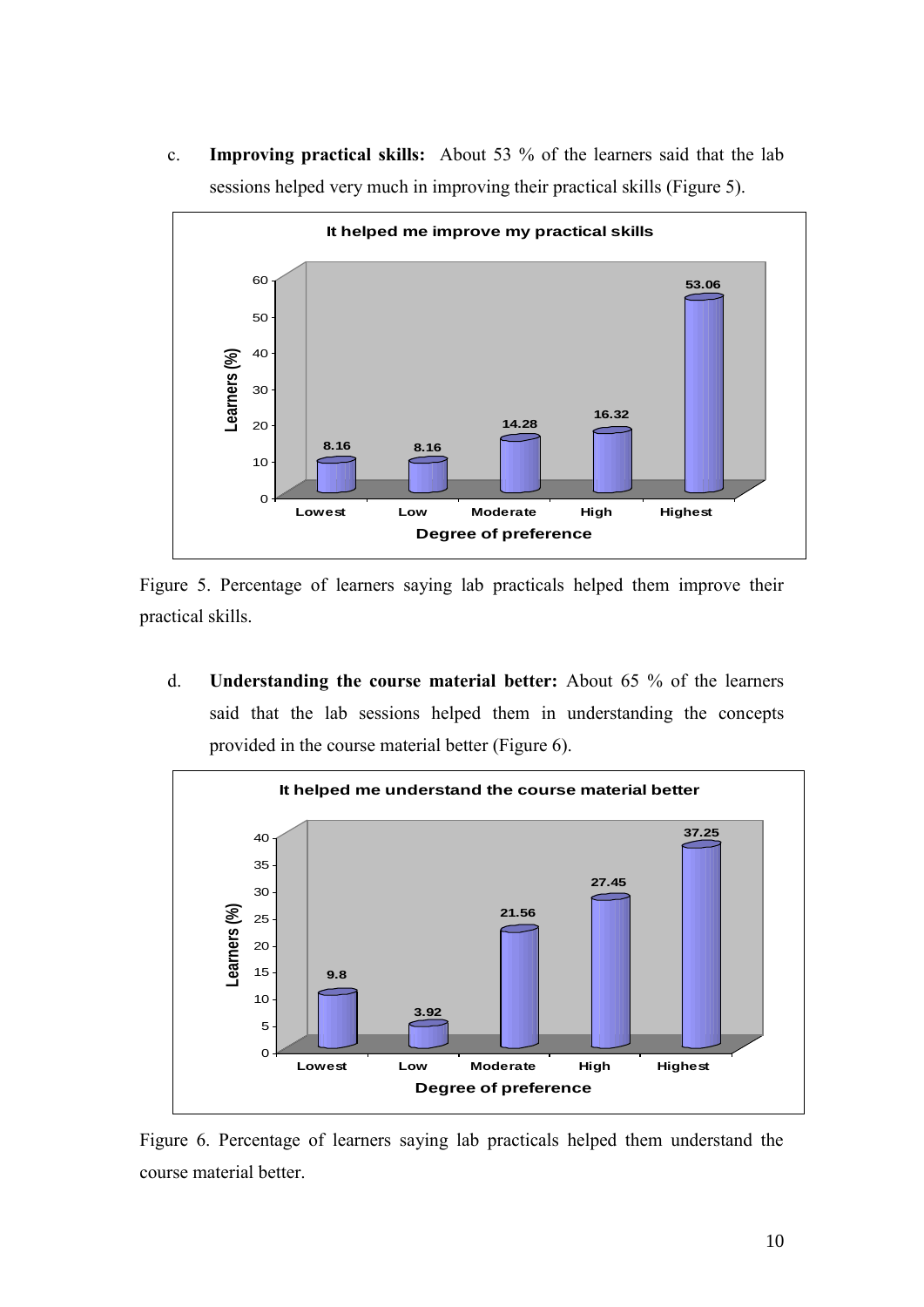c. **Improving practical skills:** About 53 % of the learners said that the lab sessions helped very much in improving their practical skills (Figure 5).



Figure 5. Percentage of learners saying lab practicals helped them improve their practical skills.

d. **Understanding the course material better:** About 65 % of the learners said that the lab sessions helped them in understanding the concepts provided in the course material better (Figure 6).



Figure 6. Percentage of learners saying lab practicals helped them understand the course material better.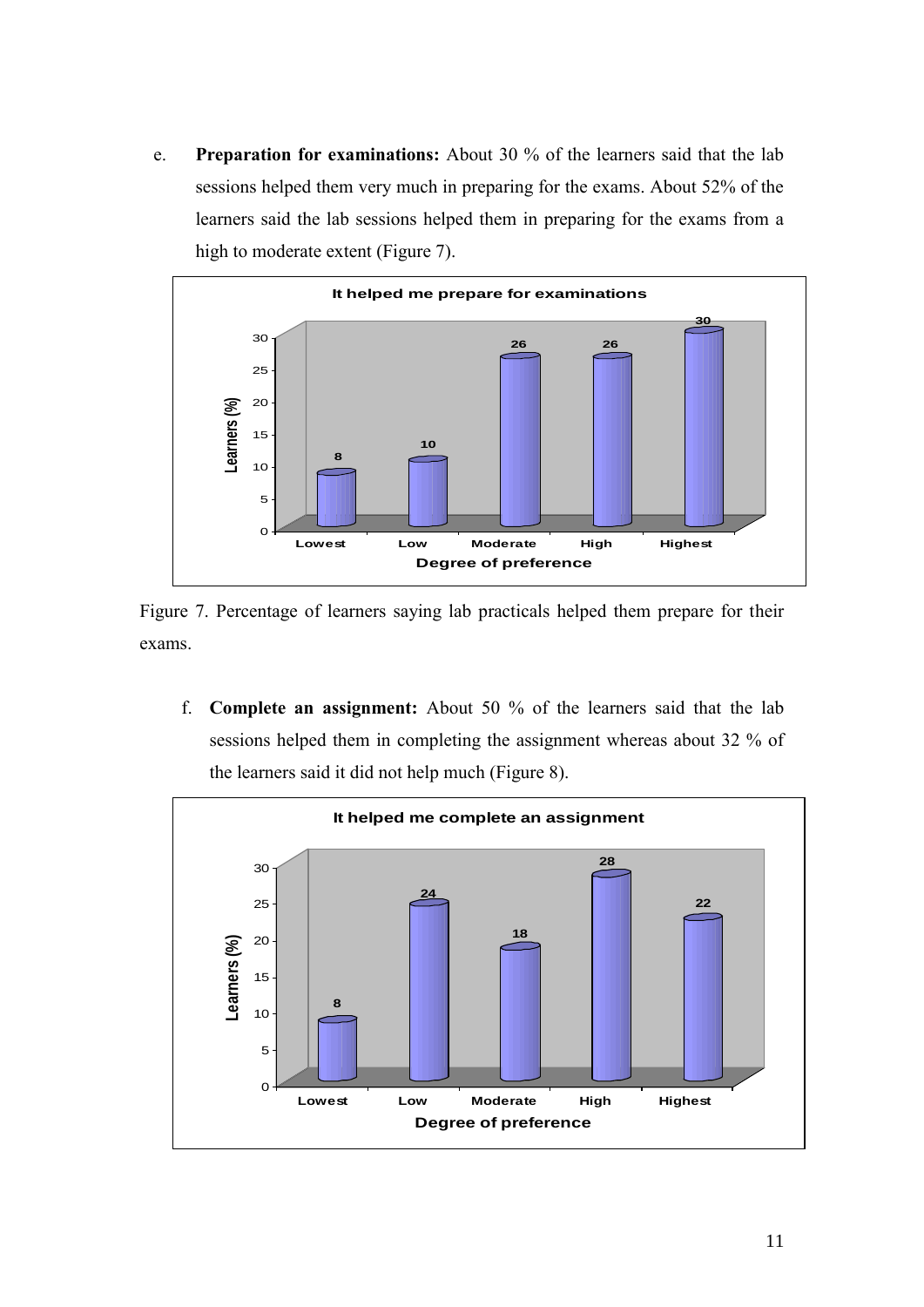e. **Preparation for examinations:** About 30 % of the learners said that the lab sessions helped them very much in preparing for the exams. About 52% of the learners said the lab sessions helped them in preparing for the exams from a high to moderate extent (Figure 7).



Figure 7. Percentage of learners saying lab practicals helped them prepare for their exams.

f. **Complete an assignment:** About 50 % of the learners said that the lab sessions helped them in completing the assignment whereas about 32 % of the learners said it did not help much (Figure 8).

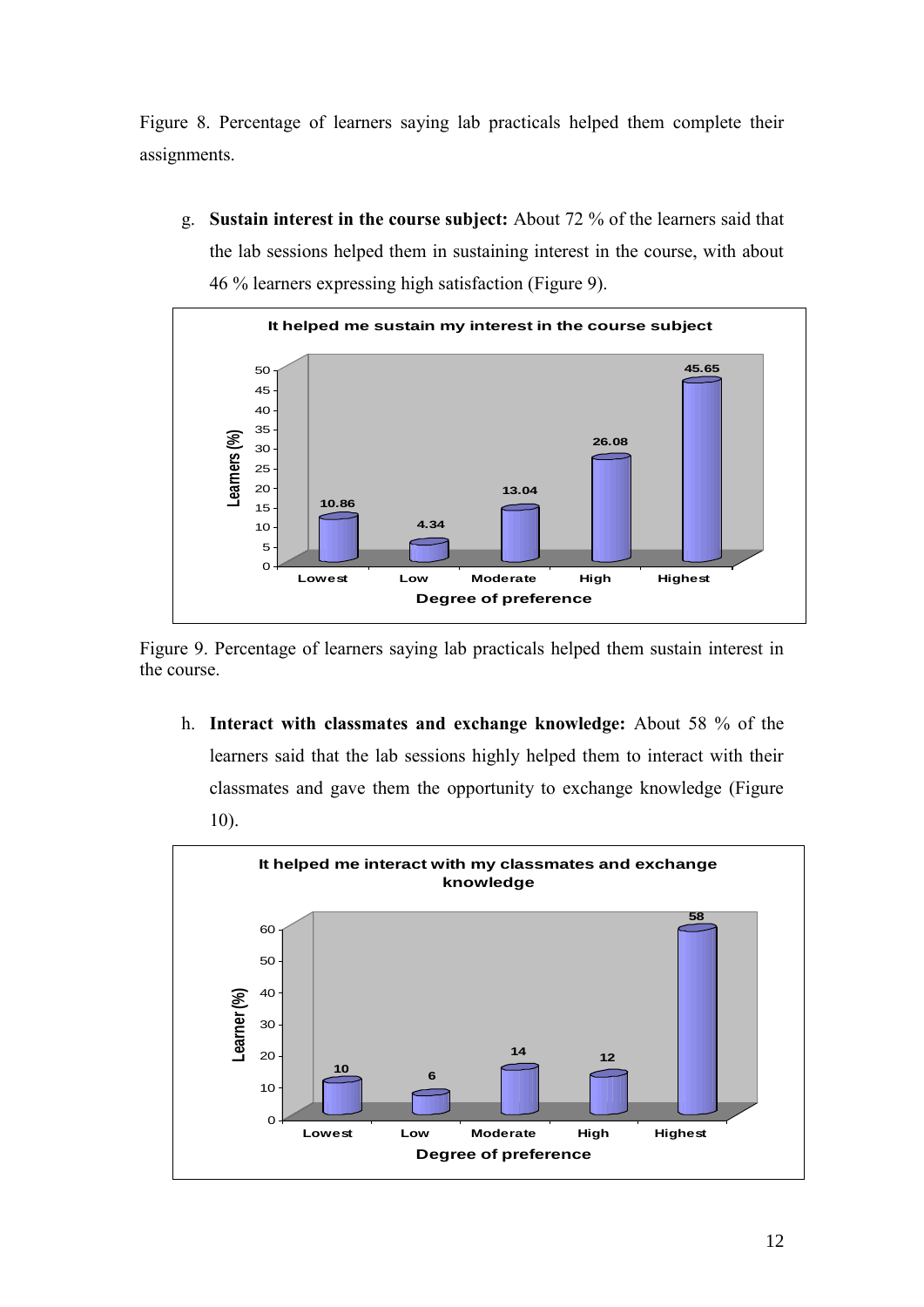Figure 8. Percentage of learners saying lab practicals helped them complete their assignments.

g. **Sustain interest in the course subject:** About 72 % of the learners said that the lab sessions helped them in sustaining interest in the course, with about 46 % learners expressing high satisfaction (Figure 9).



Figure 9. Percentage of learners saying lab practicals helped them sustain interest in the course.

h. **Interact with classmates and exchange knowledge:** About 58 % of the learners said that the lab sessions highly helped them to interact with their classmates and gave them the opportunity to exchange knowledge (Figure 10).

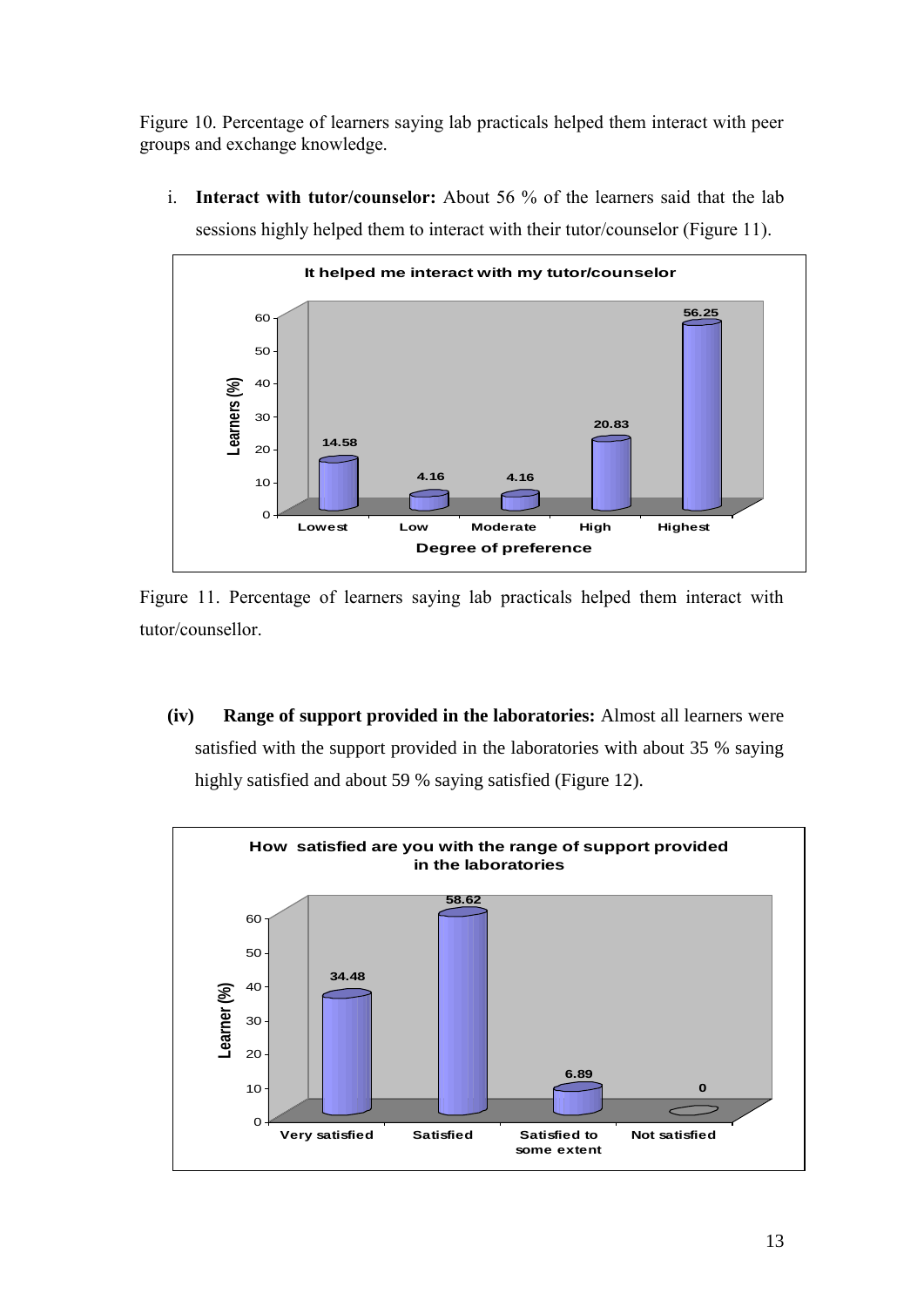Figure 10. Percentage of learners saying lab practicals helped them interact with peer groups and exchange knowledge.

i. **Interact with tutor/counselor:** About 56 % of the learners said that the lab sessions highly helped them to interact with their tutor/counselor (Figure 11).



Figure 11. Percentage of learners saying lab practicals helped them interact with tutor/counsellor.

**(iv) Range of support provided in the laboratories:** Almost all learners were satisfied with the support provided in the laboratories with about 35 % saying highly satisfied and about 59 % saying satisfied (Figure 12).

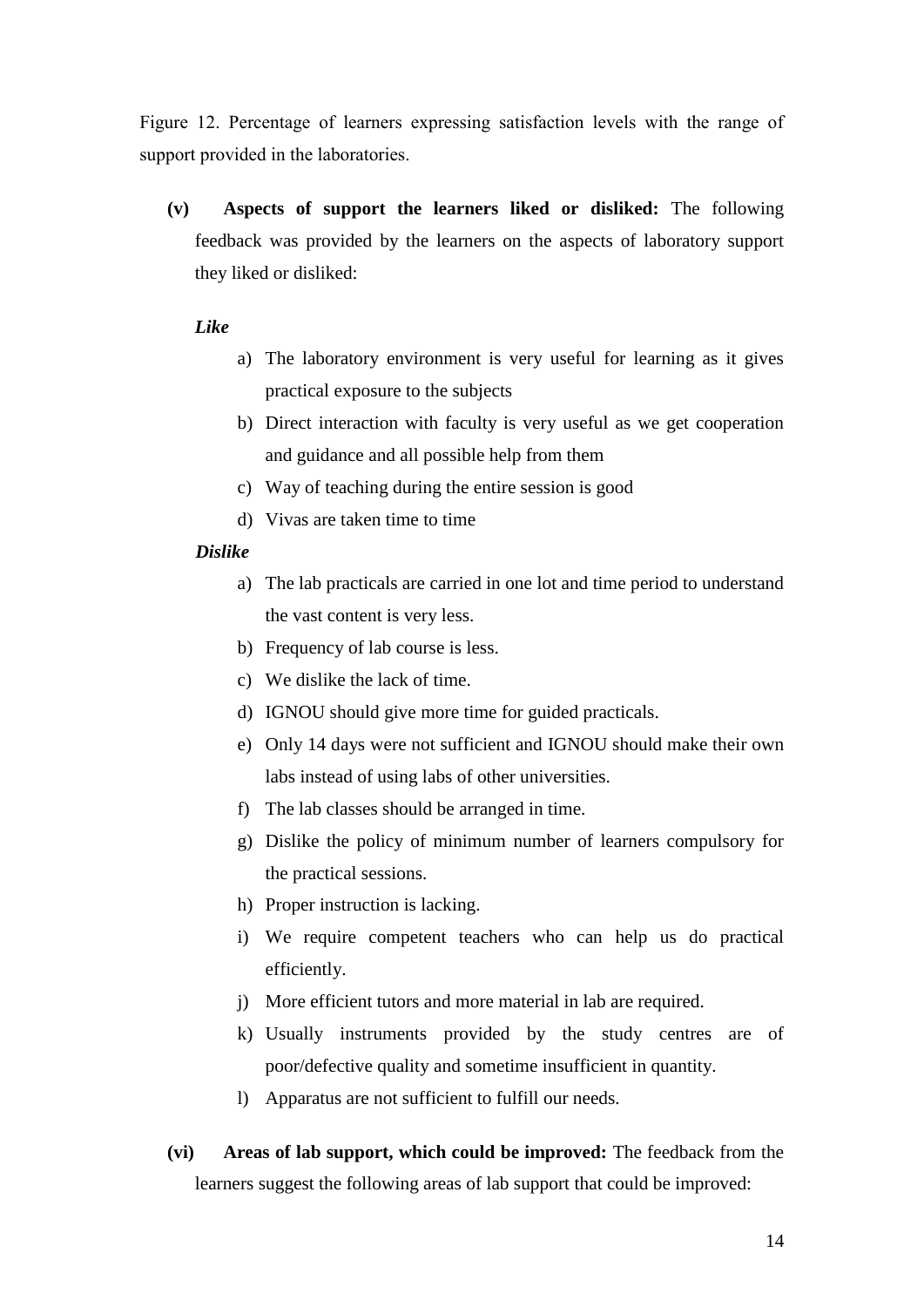Figure 12. Percentage of learners expressing satisfaction levels with the range of support provided in the laboratories.

**(v) Aspects of support the learners liked or disliked:** The following feedback was provided by the learners on the aspects of laboratory support they liked or disliked:

### *Like*

- a) The laboratory environment is very useful for learning as it gives practical exposure to the subjects
- b) Direct interaction with faculty is very useful as we get cooperation and guidance and all possible help from them
- c) Way of teaching during the entire session is good
- d) Vivas are taken time to time

### *Dislike*

- a) The lab practicals are carried in one lot and time period to understand the vast content is very less.
- b) Frequency of lab course is less.
- c) We dislike the lack of time.
- d) IGNOU should give more time for guided practicals.
- e) Only 14 days were not sufficient and IGNOU should make their own labs instead of using labs of other universities.
- f) The lab classes should be arranged in time.
- g) Dislike the policy of minimum number of learners compulsory for the practical sessions.
- h) Proper instruction is lacking.
- i) We require competent teachers who can help us do practical efficiently.
- j) More efficient tutors and more material in lab are required.
- k) Usually instruments provided by the study centres are of poor/defective quality and sometime insufficient in quantity.
- l) Apparatus are not sufficient to fulfill our needs.
- **(vi) Areas of lab support, which could be improved:** The feedback from the learners suggest the following areas of lab support that could be improved: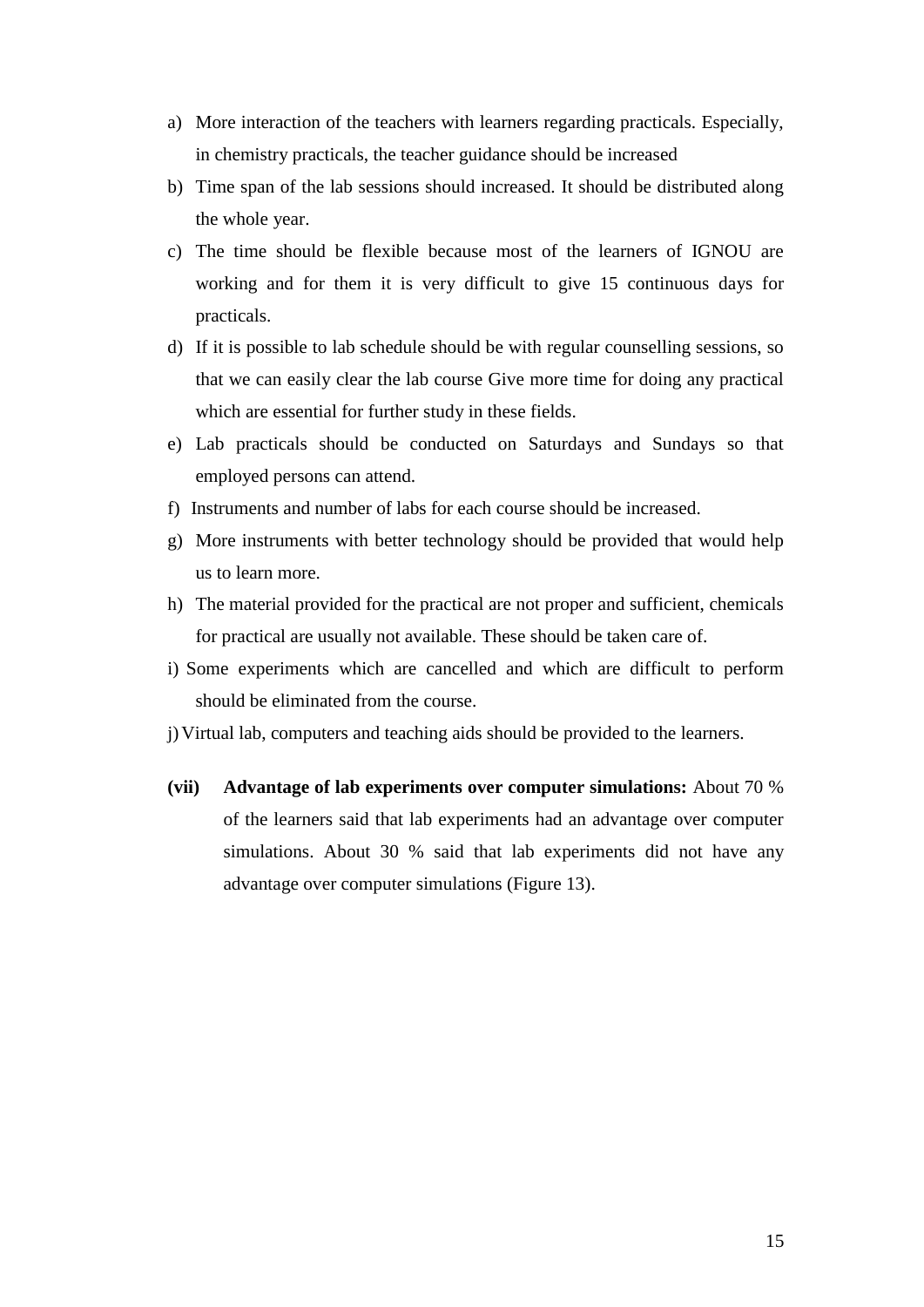- a) More interaction of the teachers with learners regarding practicals. Especially, in chemistry practicals, the teacher guidance should be increased
- b) Time span of the lab sessions should increased. It should be distributed along the whole year.
- c) The time should be flexible because most of the learners of IGNOU are working and for them it is very difficult to give 15 continuous days for practicals.
- d) If it is possible to lab schedule should be with regular counselling sessions, so that we can easily clear the lab course Give more time for doing any practical which are essential for further study in these fields.
- e) Lab practicals should be conducted on Saturdays and Sundays so that employed persons can attend.
- f) Instruments and number of labs for each course should be increased.
- g) More instruments with better technology should be provided that would help us to learn more.
- h) The material provided for the practical are not proper and sufficient, chemicals for practical are usually not available. These should be taken care of.
- i) Some experiments which are cancelled and which are difficult to perform should be eliminated from the course.
- j)Virtual lab, computers and teaching aids should be provided to the learners.
- **(vii) Advantage of lab experiments over computer simulations:** About 70 % of the learners said that lab experiments had an advantage over computer simulations. About 30 % said that lab experiments did not have any advantage over computer simulations (Figure 13).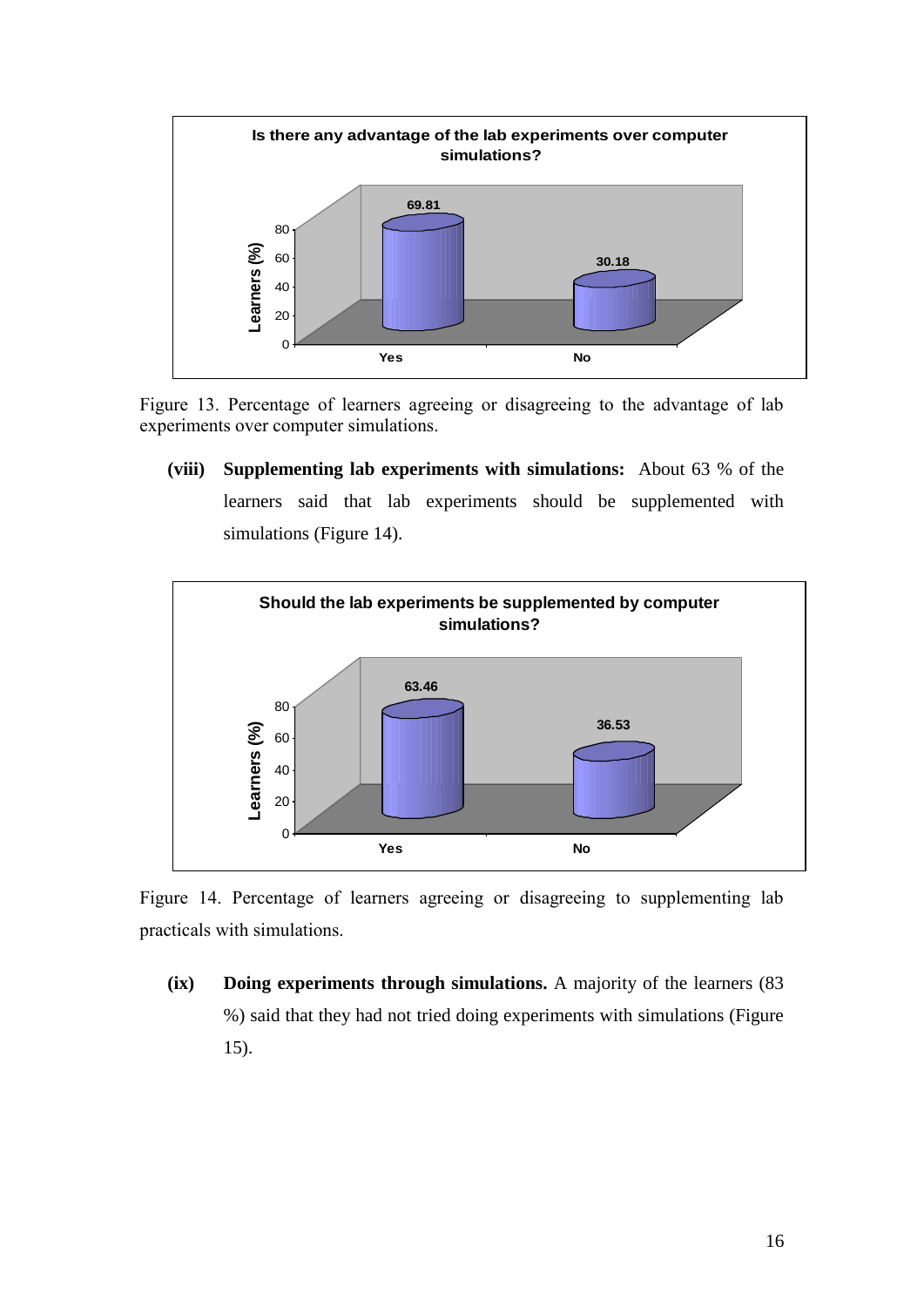

Figure 13. Percentage of learners agreeing or disagreeing to the advantage of lab experiments over computer simulations.

**(viii) Supplementing lab experiments with simulations:** About 63 % of the learners said that lab experiments should be supplemented with simulations (Figure 14).



Figure 14. Percentage of learners agreeing or disagreeing to supplementing lab practicals with simulations.

**(ix) Doing experiments through simulations.** A majority of the learners (83 %) said that they had not tried doing experiments with simulations (Figure 15).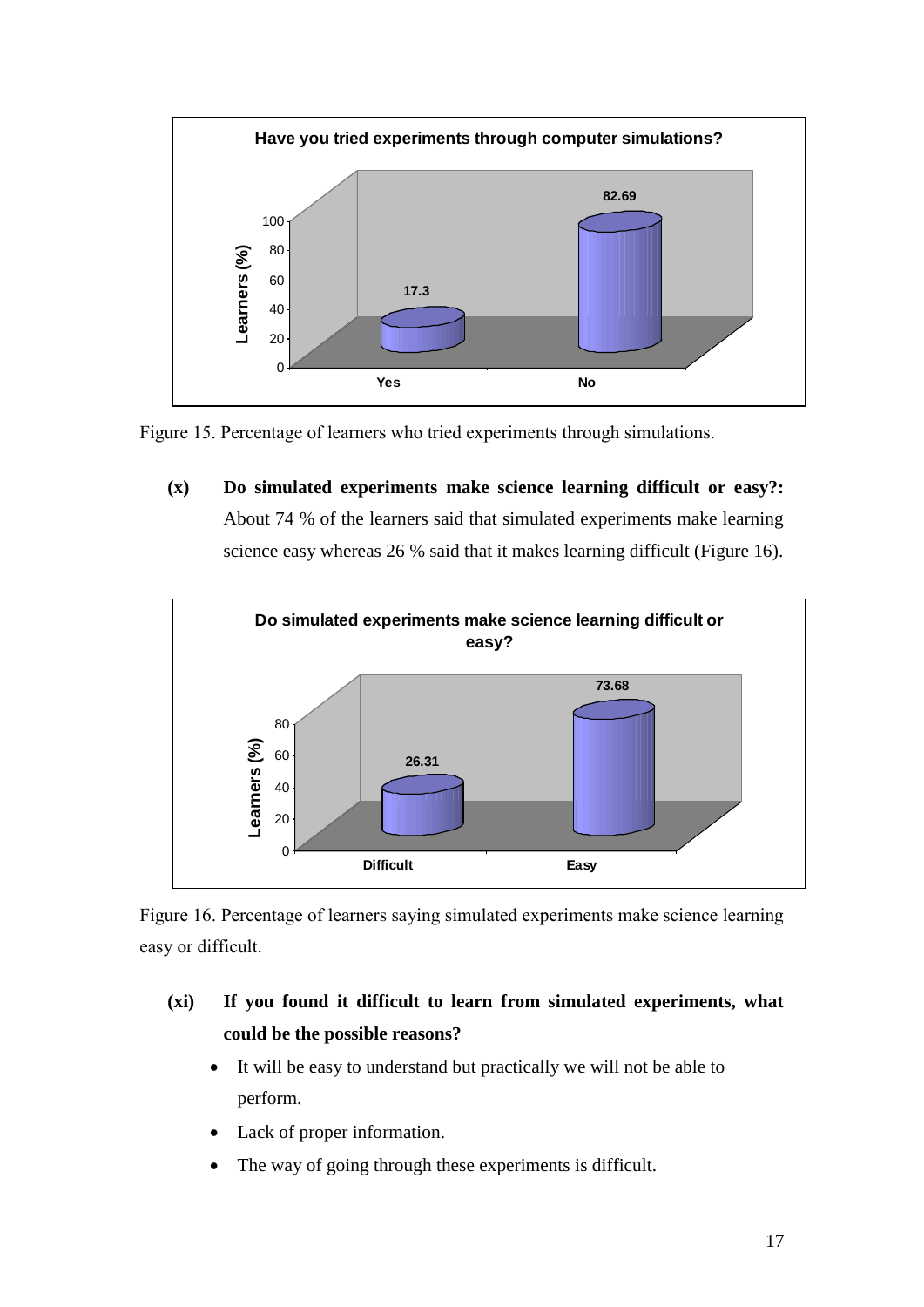



**(x) Do simulated experiments make science learning difficult or easy?:**  About 74 % of the learners said that simulated experiments make learning science easy whereas 26 % said that it makes learning difficult (Figure 16).



Figure 16. Percentage of learners saying simulated experiments make science learning easy or difficult.

- **(xi) If you found it difficult to learn from simulated experiments, what could be the possible reasons?**
	- It will be easy to understand but practically we will not be able to perform.
	- Lack of proper information.
	- The way of going through these experiments is difficult.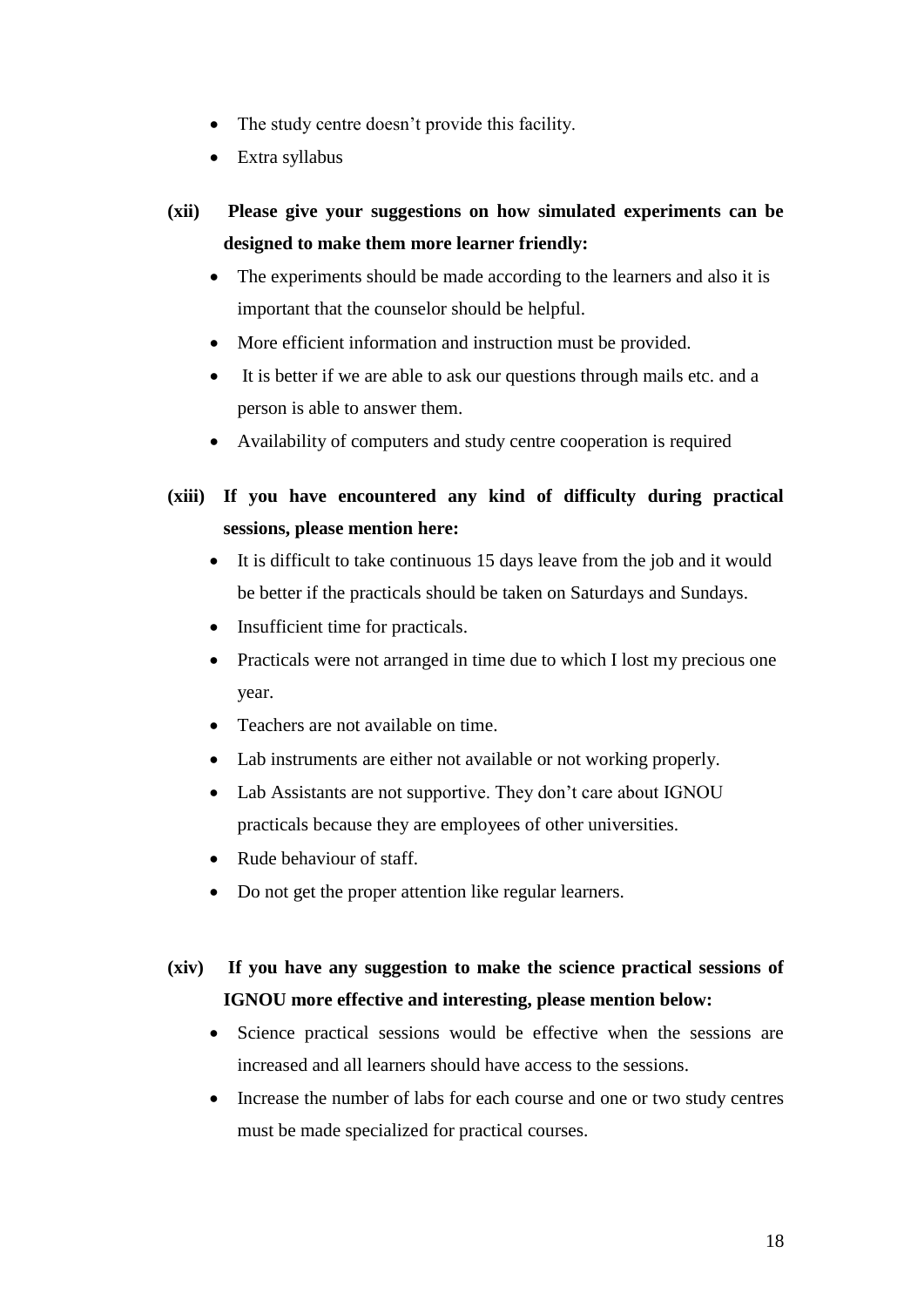- The study centre doesn't provide this facility.
- Extra syllabus
- **(xii) Please give your suggestions on how simulated experiments can be designed to make them more learner friendly:**
	- The experiments should be made according to the learners and also it is important that the counselor should be helpful.
	- More efficient information and instruction must be provided.
	- It is better if we are able to ask our questions through mails etc. and a person is able to answer them.
	- Availability of computers and study centre cooperation is required
- **(xiii) If you have encountered any kind of difficulty during practical sessions, please mention here:** 
	- It is difficult to take continuous 15 days leave from the job and it would be better if the practicals should be taken on Saturdays and Sundays.
	- Insufficient time for practicals.
	- Practicals were not arranged in time due to which I lost my precious one year.
	- Teachers are not available on time.
	- Lab instruments are either not available or not working properly.
	- Lab Assistants are not supportive. They don't care about IGNOU practicals because they are employees of other universities.
	- Rude behaviour of staff.
	- Do not get the proper attention like regular learners.

# **(xiv) If you have any suggestion to make the science practical sessions of IGNOU more effective and interesting, please mention below:**

- Science practical sessions would be effective when the sessions are increased and all learners should have access to the sessions.
- Increase the number of labs for each course and one or two study centres must be made specialized for practical courses.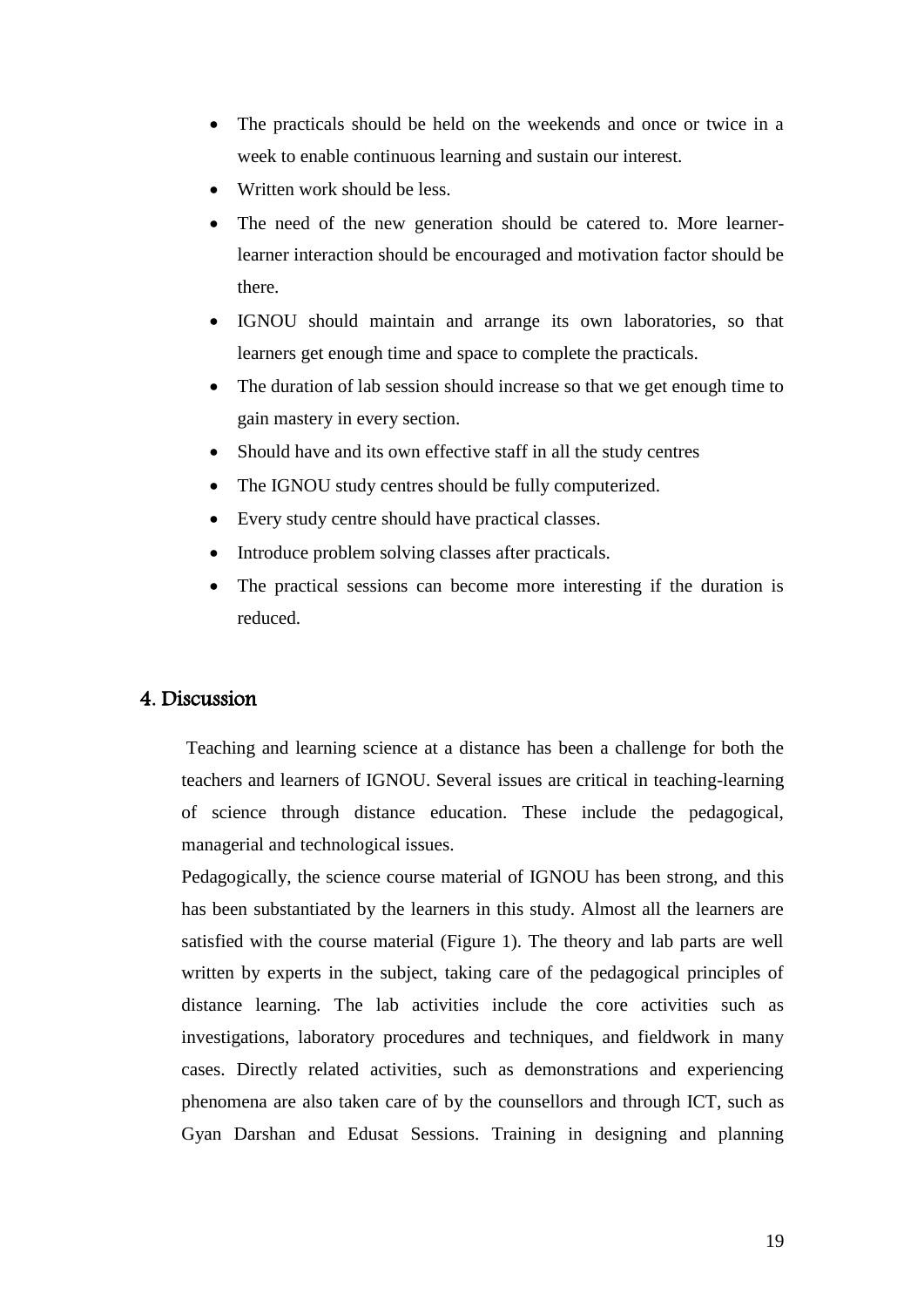- The practicals should be held on the weekends and once or twice in a week to enable continuous learning and sustain our interest.
- Written work should be less.
- The need of the new generation should be catered to. More learnerlearner interaction should be encouraged and motivation factor should be there.
- IGNOU should maintain and arrange its own laboratories, so that learners get enough time and space to complete the practicals.
- The duration of lab session should increase so that we get enough time to gain mastery in every section.
- Should have and its own effective staff in all the study centres
- The IGNOU study centres should be fully computerized.
- Every study centre should have practical classes.
- Introduce problem solving classes after practicals.
- The practical sessions can become more interesting if the duration is reduced.

# 4. Discussion

Teaching and learning science at a distance has been a challenge for both the teachers and learners of IGNOU. Several issues are critical in teaching-learning of science through distance education. These include the pedagogical, managerial and technological issues.

Pedagogically, the science course material of IGNOU has been strong, and this has been substantiated by the learners in this study. Almost all the learners are satisfied with the course material (Figure 1). The theory and lab parts are well written by experts in the subject, taking care of the pedagogical principles of distance learning. The lab activities include the core activities such as investigations, laboratory procedures and techniques, and fieldwork in many cases. Directly related activities, such as demonstrations and experiencing phenomena are also taken care of by the counsellors and through ICT, such as Gyan Darshan and Edusat Sessions. Training in designing and planning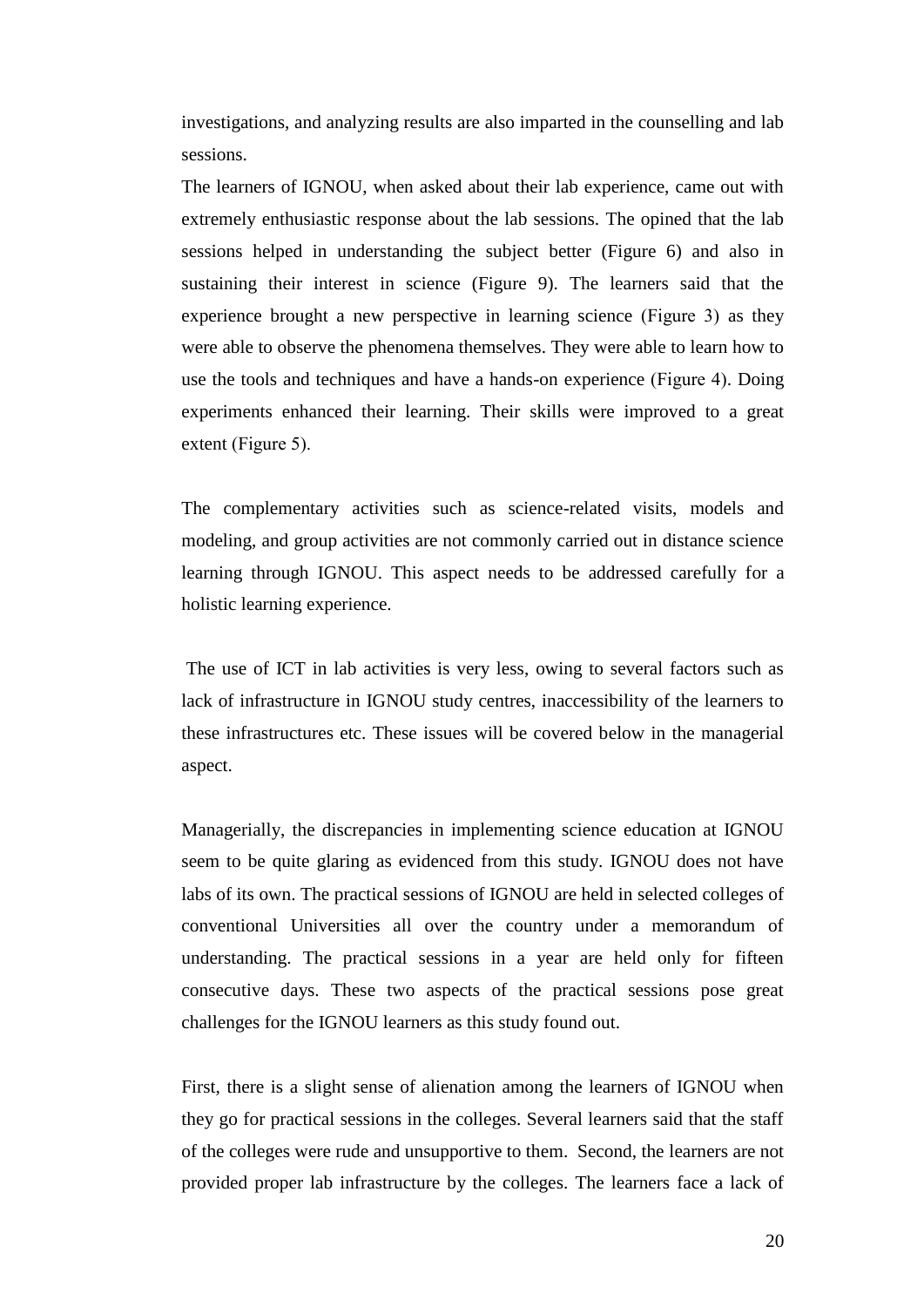investigations, and analyzing results are also imparted in the counselling and lab sessions.

The learners of IGNOU, when asked about their lab experience, came out with extremely enthusiastic response about the lab sessions. The opined that the lab sessions helped in understanding the subject better (Figure 6) and also in sustaining their interest in science (Figure 9). The learners said that the experience brought a new perspective in learning science (Figure 3) as they were able to observe the phenomena themselves. They were able to learn how to use the tools and techniques and have a hands-on experience (Figure 4). Doing experiments enhanced their learning. Their skills were improved to a great extent (Figure 5).

The complementary activities such as science-related visits, models and modeling, and group activities are not commonly carried out in distance science learning through IGNOU. This aspect needs to be addressed carefully for a holistic learning experience.

The use of ICT in lab activities is very less, owing to several factors such as lack of infrastructure in IGNOU study centres, inaccessibility of the learners to these infrastructures etc. These issues will be covered below in the managerial aspect.

Managerially, the discrepancies in implementing science education at IGNOU seem to be quite glaring as evidenced from this study. IGNOU does not have labs of its own. The practical sessions of IGNOU are held in selected colleges of conventional Universities all over the country under a memorandum of understanding. The practical sessions in a year are held only for fifteen consecutive days. These two aspects of the practical sessions pose great challenges for the IGNOU learners as this study found out.

First, there is a slight sense of alienation among the learners of IGNOU when they go for practical sessions in the colleges. Several learners said that the staff of the colleges were rude and unsupportive to them. Second, the learners are not provided proper lab infrastructure by the colleges. The learners face a lack of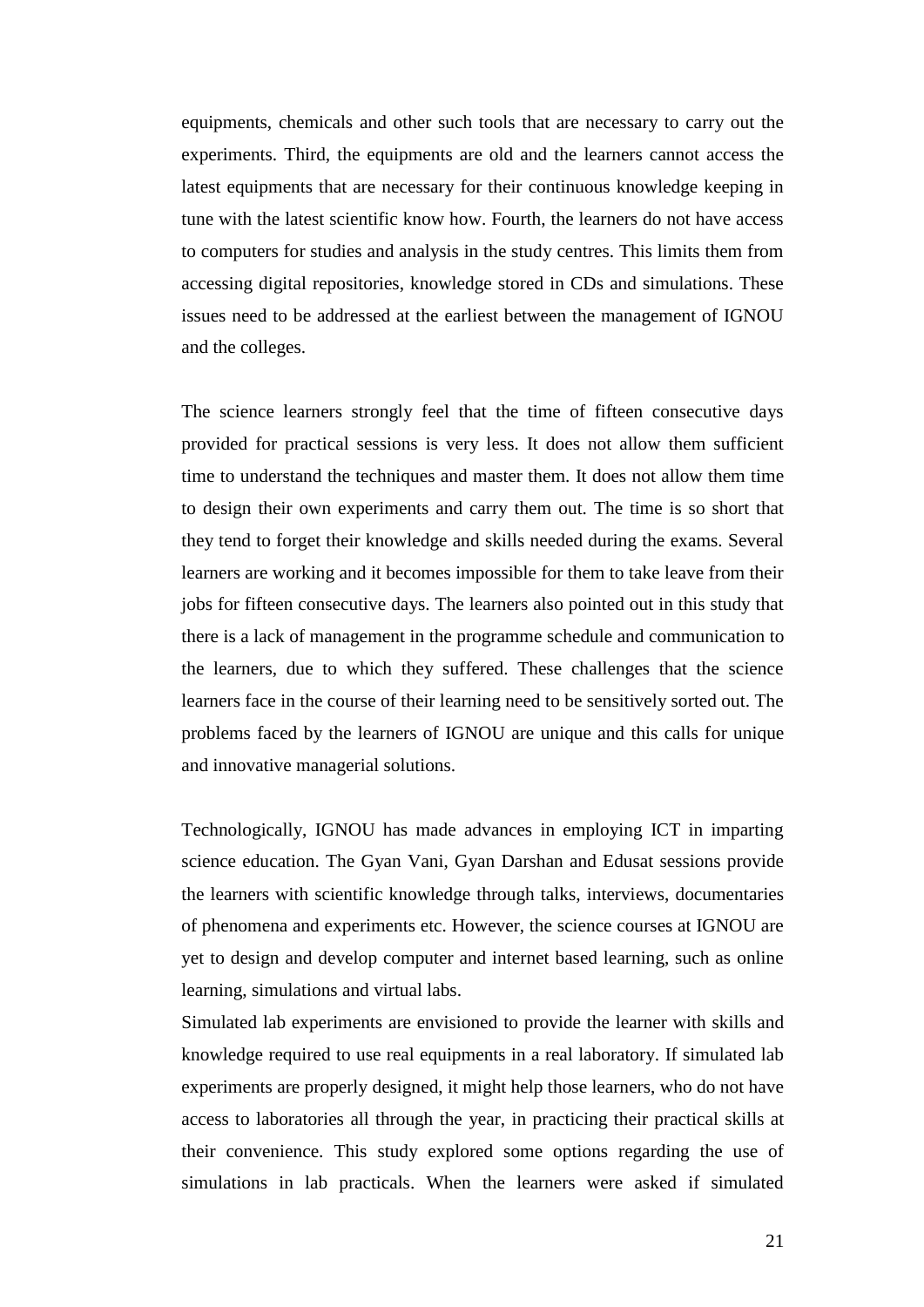equipments, chemicals and other such tools that are necessary to carry out the experiments. Third, the equipments are old and the learners cannot access the latest equipments that are necessary for their continuous knowledge keeping in tune with the latest scientific know how. Fourth, the learners do not have access to computers for studies and analysis in the study centres. This limits them from accessing digital repositories, knowledge stored in CDs and simulations. These issues need to be addressed at the earliest between the management of IGNOU and the colleges.

The science learners strongly feel that the time of fifteen consecutive days provided for practical sessions is very less. It does not allow them sufficient time to understand the techniques and master them. It does not allow them time to design their own experiments and carry them out. The time is so short that they tend to forget their knowledge and skills needed during the exams. Several learners are working and it becomes impossible for them to take leave from their jobs for fifteen consecutive days. The learners also pointed out in this study that there is a lack of management in the programme schedule and communication to the learners, due to which they suffered. These challenges that the science learners face in the course of their learning need to be sensitively sorted out. The problems faced by the learners of IGNOU are unique and this calls for unique and innovative managerial solutions.

Technologically, IGNOU has made advances in employing ICT in imparting science education. The Gyan Vani, Gyan Darshan and Edusat sessions provide the learners with scientific knowledge through talks, interviews, documentaries of phenomena and experiments etc. However, the science courses at IGNOU are yet to design and develop computer and internet based learning, such as online learning, simulations and virtual labs.

Simulated lab experiments are envisioned to provide the learner with skills and knowledge required to use real equipments in a real laboratory. If simulated lab experiments are properly designed, it might help those learners, who do not have access to laboratories all through the year, in practicing their practical skills at their convenience. This study explored some options regarding the use of simulations in lab practicals. When the learners were asked if simulated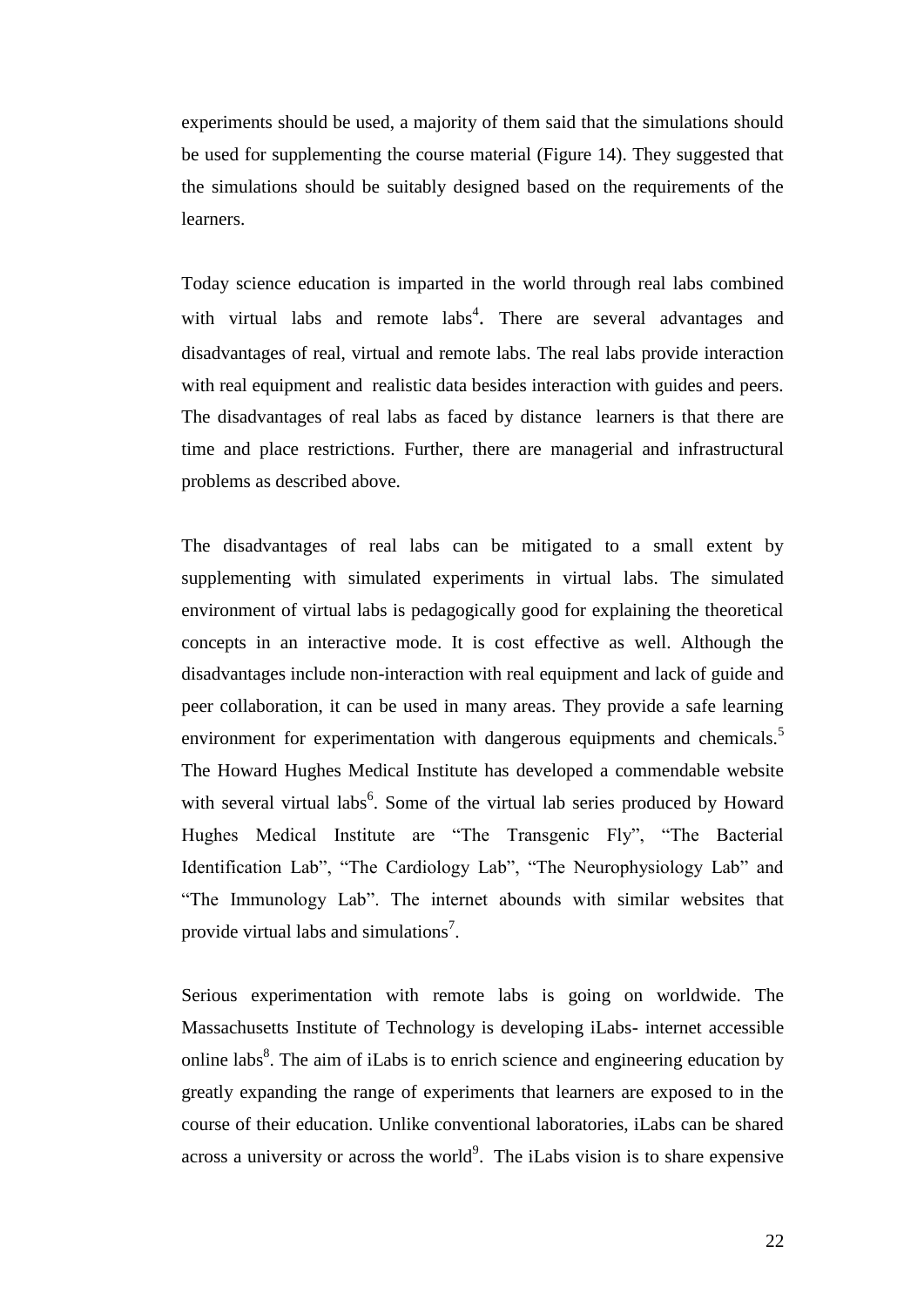experiments should be used, a majority of them said that the simulations should be used for supplementing the course material (Figure 14). They suggested that the simulations should be suitably designed based on the requirements of the learners.

Today science education is imparted in the world through real labs combined with virtual labs and remote labs<sup>4</sup>. There are several advantages and disadvantages of real, virtual and remote labs. The real labs provide interaction with real equipment and realistic data besides interaction with guides and peers. The disadvantages of real labs as faced by distance learners is that there are time and place restrictions. Further, there are managerial and infrastructural problems as described above.

The disadvantages of real labs can be mitigated to a small extent by supplementing with simulated experiments in virtual labs. The simulated environment of virtual labs is pedagogically good for explaining the theoretical concepts in an interactive mode. It is cost effective as well. Although the disadvantages include non-interaction with real equipment and lack of guide and peer collaboration, it can be used in many areas. They provide a safe learning environment for experimentation with dangerous equipments and chemicals.<sup>5</sup> The Howard Hughes Medical Institute has developed a commendable website with several virtual labs<sup>6</sup>. Some of the virtual lab series produced by Howard Hughes Medical Institute are "The Transgenic Fly", "The Bacterial Identification Lab", "The Cardiology Lab", "The Neurophysiology Lab" and "The Immunology Lab". The internet abounds with similar websites that provide virtual labs and simulations<sup>7</sup>.

Serious experimentation with remote labs is going on worldwide. The Massachusetts Institute of Technology is developing iLabs- internet accessible online labs $8$ . The aim of iLabs is to enrich science and engineering education by greatly expanding the range of experiments that learners are exposed to in the course of their education. Unlike conventional laboratories, iLabs can be shared across a university or across the world<sup>9</sup>. The iLabs vision is to share expensive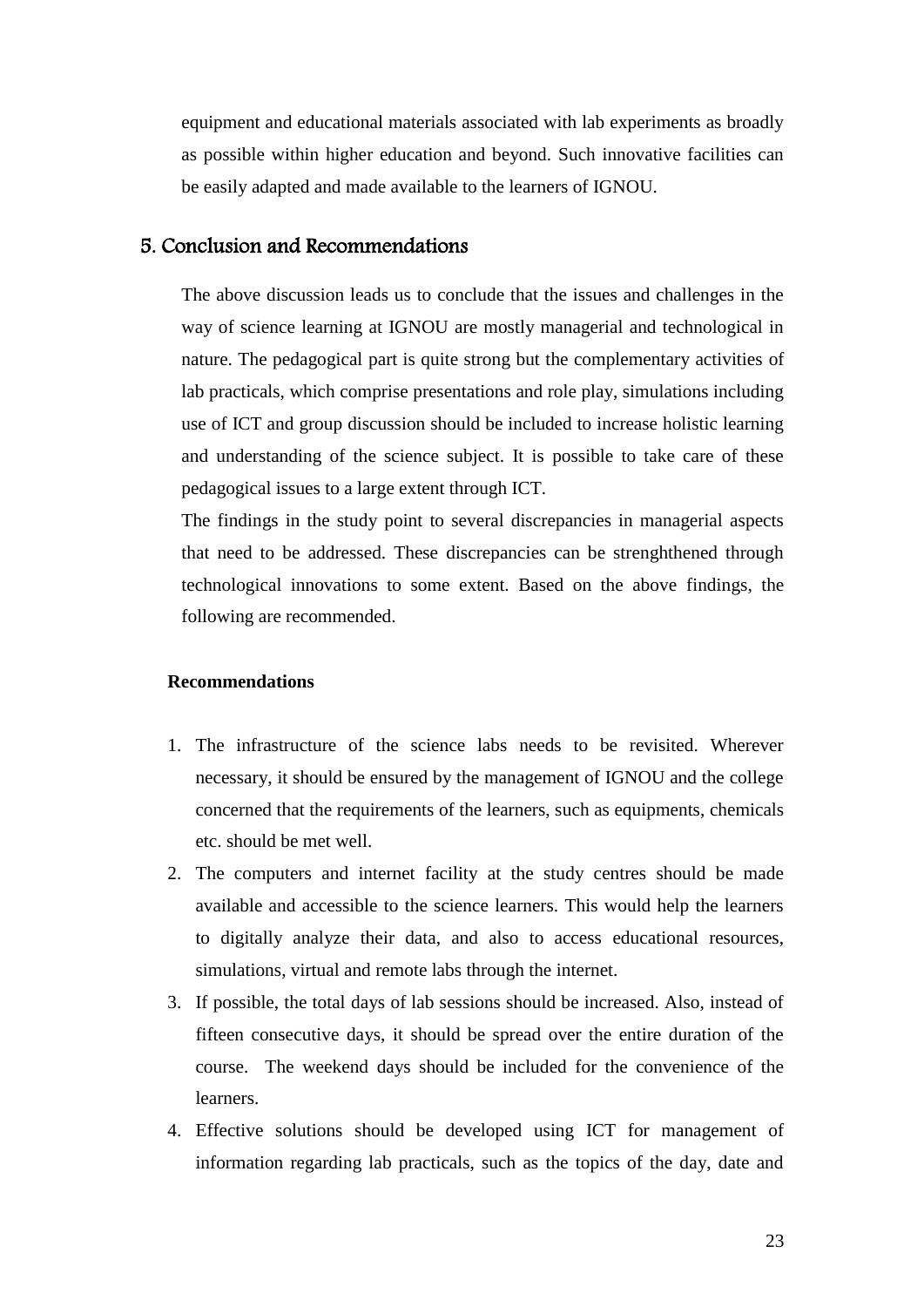equipment and educational materials associated with lab experiments as broadly as possible within higher education and beyond. Such innovative facilities can be easily adapted and made available to the learners of IGNOU.

#### 5. Conclusion and Recommendations

The above discussion leads us to conclude that the issues and challenges in the way of science learning at IGNOU are mostly managerial and technological in nature. The pedagogical part is quite strong but the complementary activities of lab practicals, which comprise presentations and role play, simulations including use of ICT and group discussion should be included to increase holistic learning and understanding of the science subject. It is possible to take care of these pedagogical issues to a large extent through ICT.

The findings in the study point to several discrepancies in managerial aspects that need to be addressed. These discrepancies can be strenghthened through technological innovations to some extent. Based on the above findings, the following are recommended.

#### **Recommendations**

- 1. The infrastructure of the science labs needs to be revisited. Wherever necessary, it should be ensured by the management of IGNOU and the college concerned that the requirements of the learners, such as equipments, chemicals etc. should be met well.
- 2. The computers and internet facility at the study centres should be made available and accessible to the science learners. This would help the learners to digitally analyze their data, and also to access educational resources, simulations, virtual and remote labs through the internet.
- 3. If possible, the total days of lab sessions should be increased. Also, instead of fifteen consecutive days, it should be spread over the entire duration of the course. The weekend days should be included for the convenience of the learners.
- 4. Effective solutions should be developed using ICT for management of information regarding lab practicals, such as the topics of the day, date and